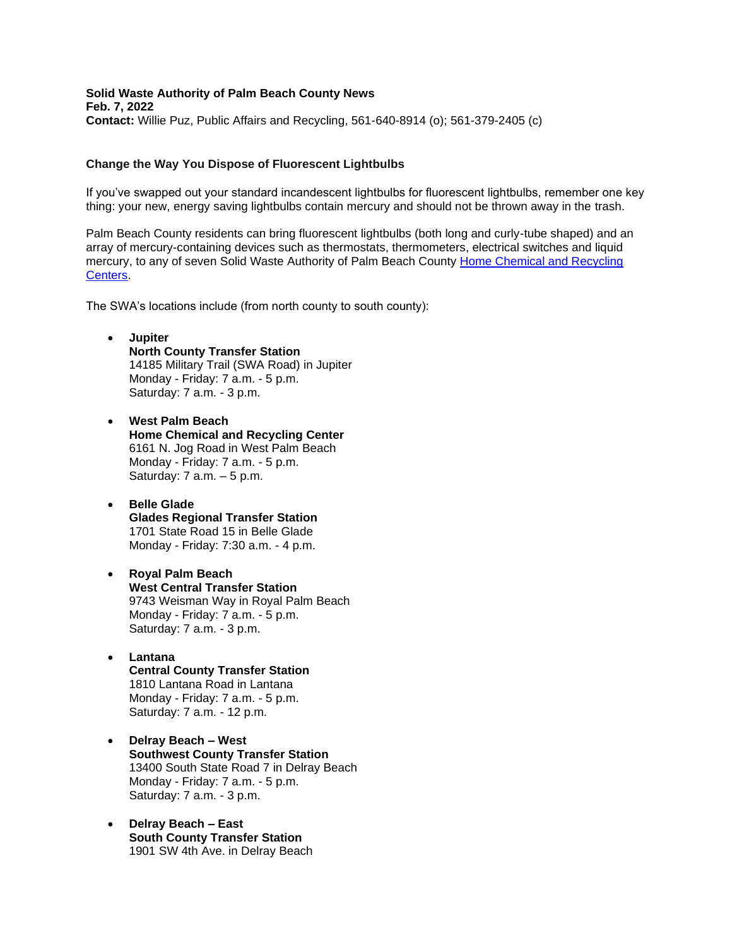**Solid Waste Authority of Palm Beach County News Feb. 7, 2022 Contact:** Willie Puz, Public Affairs and Recycling, 561-640-8914 (o); 561-379-2405 (c)

## **Change the Way You Dispose of Fluorescent Lightbulbs**

If you've swapped out your standard incandescent lightbulbs for fluorescent lightbulbs, remember one key thing: your new, energy saving lightbulbs contain mercury and should not be thrown away in the trash.

Palm Beach County residents can bring fluorescent lightbulbs (both long and curly-tube shaped) and an array of mercury-containing devices such as thermostats, thermometers, electrical switches and liquid mercury, to any of seven Solid Waste Authority of Palm Beach County [Home Chemical and Recycling](http://www.swa.org/HCRC)  [Centers.](http://www.swa.org/HCRC)

The SWA's locations include (from north county to south county):

- **Jupiter North County Transfer Station**  14185 Military Trail (SWA Road) in Jupiter Monday - Friday: 7 a.m. - 5 p.m. Saturday: 7 a.m. - 3 p.m.
- **West Palm Beach Home Chemical and Recycling Center**  6161 N. Jog Road in West Palm Beach Monday - Friday: 7 a.m. - 5 p.m. Saturday: 7 a.m. – 5 p.m.
- **Belle Glade Glades Regional Transfer Station**  1701 State Road 15 in Belle Glade Monday - Friday: 7:30 a.m. - 4 p.m.

## • **Royal Palm Beach West Central Transfer Station**  9743 Weisman Way in Royal Palm Beach Monday - Friday: 7 a.m. - 5 p.m. Saturday: 7 a.m. - 3 p.m.

- **Lantana Central County Transfer Station**  1810 Lantana Road in Lantana Monday - Friday: 7 a.m. - 5 p.m. Saturday: 7 a.m. - 12 p.m.
- **Delray Beach – West Southwest County Transfer Station** 13400 South State Road 7 in Delray Beach Monday - Friday: 7 a.m. - 5 p.m. Saturday: 7 a.m. - 3 p.m.
- **Delray Beach – East South County Transfer Station** 1901 SW 4th Ave. in Delray Beach